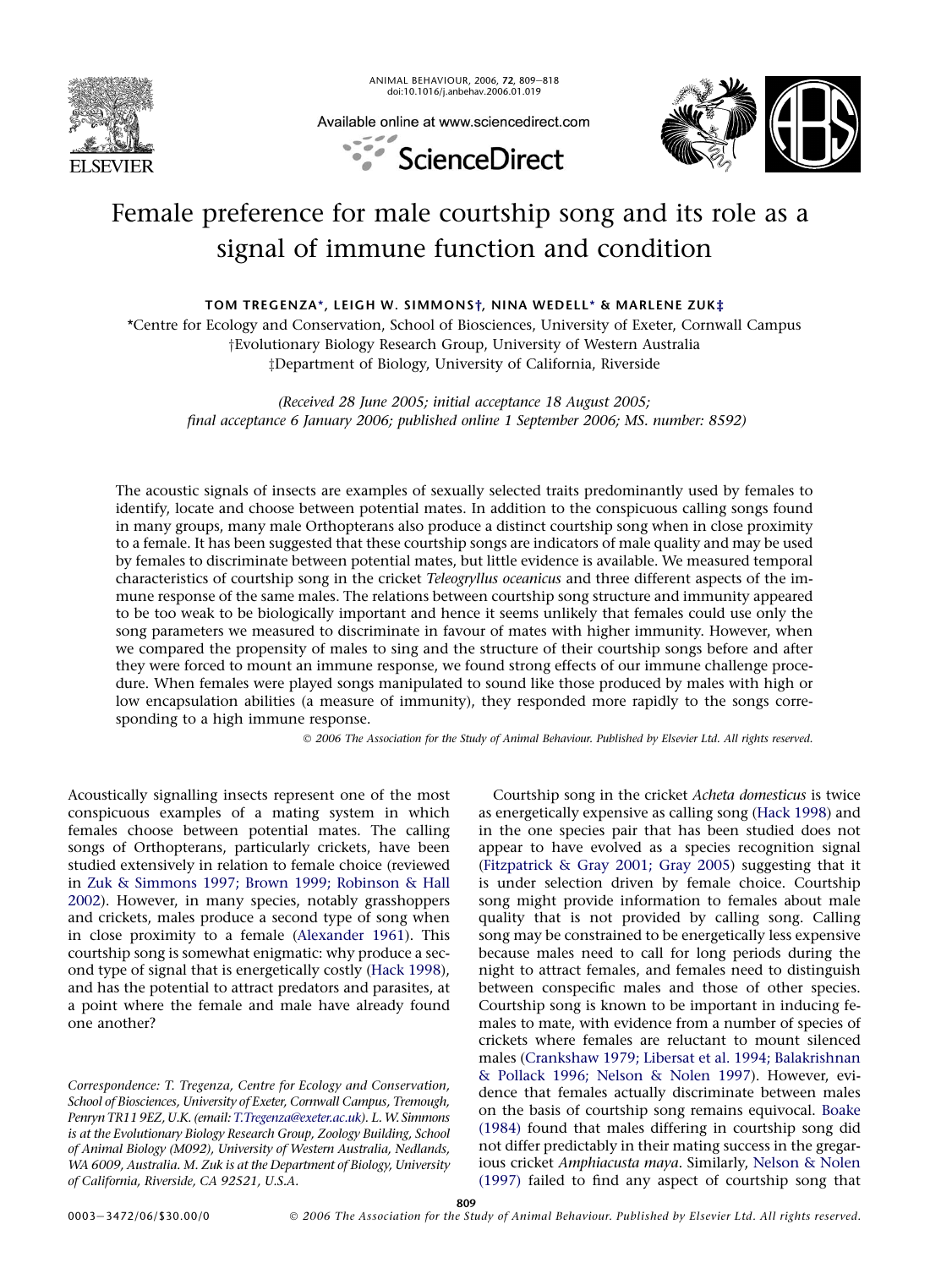

ANIMAL BEHAVIOUR, 2006, 72, 809-818 doi:10.1016/j.anbehav.2006.01.019





# Female preference for male courtship song and its role as a signal of immune function and condition

TOM TREGENZA\*, LEIGH W. SIMMONS†, NINA WEDELL\* & MARLENE ZUK‡

\*Centre for Ecology and Conservation, School of Biosciences, University of Exeter, Cornwall Campus †Evolutionary Biology Research Group, University of Western Australia zDepartment of Biology, University of California, Riverside

(Received 28 June 2005; initial acceptance 18 August 2005; final acceptance 6 January 2006; published online 1 September 2006; MS. number: 8592)

The acoustic signals of insects are examples of sexually selected traits predominantly used by females to identify, locate and choose between potential mates. In addition to the conspicuous calling songs found in many groups, many male Orthopterans also produce a distinct courtship song when in close proximity to a female. It has been suggested that these courtship songs are indicators of male quality and may be used by females to discriminate between potential mates, but little evidence is available. We measured temporal characteristics of courtship song in the cricket Teleogryllus oceanicus and three different aspects of the immune response of the same males. The relations between courtship song structure and immunity appeared to be too weak to be biologically important and hence it seems unlikely that females could use only the song parameters we measured to discriminate in favour of mates with higher immunity. However, when we compared the propensity of males to sing and the structure of their courtship songs before and after they were forced to mount an immune response, we found strong effects of our immune challenge procedure. When females were played songs manipulated to sound like those produced by males with high or low encapsulation abilities (a measure of immunity), they responded more rapidly to the songs corresponding to a high immune response.

2006 The Association for the Study of Animal Behaviour. Published by Elsevier Ltd. All rights reserved.

Acoustically signalling insects represent one of the most conspicuous examples of a mating system in which females choose between potential mates. The calling songs of Orthopterans, particularly crickets, have been studied extensively in relation to female choice (reviewed in [Zuk & Simmons 1997; Brown 1999; Robinson & Hall](#page-9-0) [2002](#page-9-0)). However, in many species, notably grasshoppers and crickets, males produce a second type of song when in close proximity to a female [\(Alexander 1961](#page-8-0)). This courtship song is somewhat enigmatic: why produce a second type of signal that is energetically costly [\(Hack 1998](#page-8-0)), and has the potential to attract predators and parasites, at a point where the female and male have already found one another?

Correspondence: T. Tregenza, Centre for Ecology and Conservation, School of Biosciences, University of Exeter, Cornwall Campus, Tremough, Penryn TR11 9EZ, U.K. (email: [T.Tregenza@exeter.ac.uk\)](mailto:T.Tregenza@exeter.ac.uk). L.W. Simmons is at the Evolutionary Biology Research Group, Zoology Building, School of Animal Biology (M092), University of Western Australia, Nedlands, WA 6009, Australia. M. Zuk is at the Department of Biology, University of California, Riverside, CA 92521, U.S.A.

Courtship song in the cricket Acheta domesticus is twice as energetically expensive as calling song ([Hack 1998](#page-8-0)) and in the one species pair that has been studied does not appear to have evolved as a species recognition signal ([Fitzpatrick & Gray 2001; Gray 2005](#page-8-0)) suggesting that it is under selection driven by female choice. Courtship song might provide information to females about male quality that is not provided by calling song. Calling song may be constrained to be energetically less expensive because males need to call for long periods during the night to attract females, and females need to distinguish between conspecific males and those of other species. Courtship song is known to be important in inducing females to mate, with evidence from a number of species of crickets where females are reluctant to mount silenced males ([Crankshaw 1979; Libersat et al. 1994; Balakrishnan](#page-8-0) [& Pollack 1996; Nelson & Nolen 1997\)](#page-8-0). However, evidence that females actually discriminate between males on the basis of courtship song remains equivocal. [Boake](#page-8-0) [\(1984\)](#page-8-0) found that males differing in courtship song did not differ predictably in their mating success in the gregarious cricket Amphiacusta maya. Similarly, [Nelson & Nolen](#page-8-0) [\(1997\)](#page-8-0) failed to find any aspect of courtship song that

809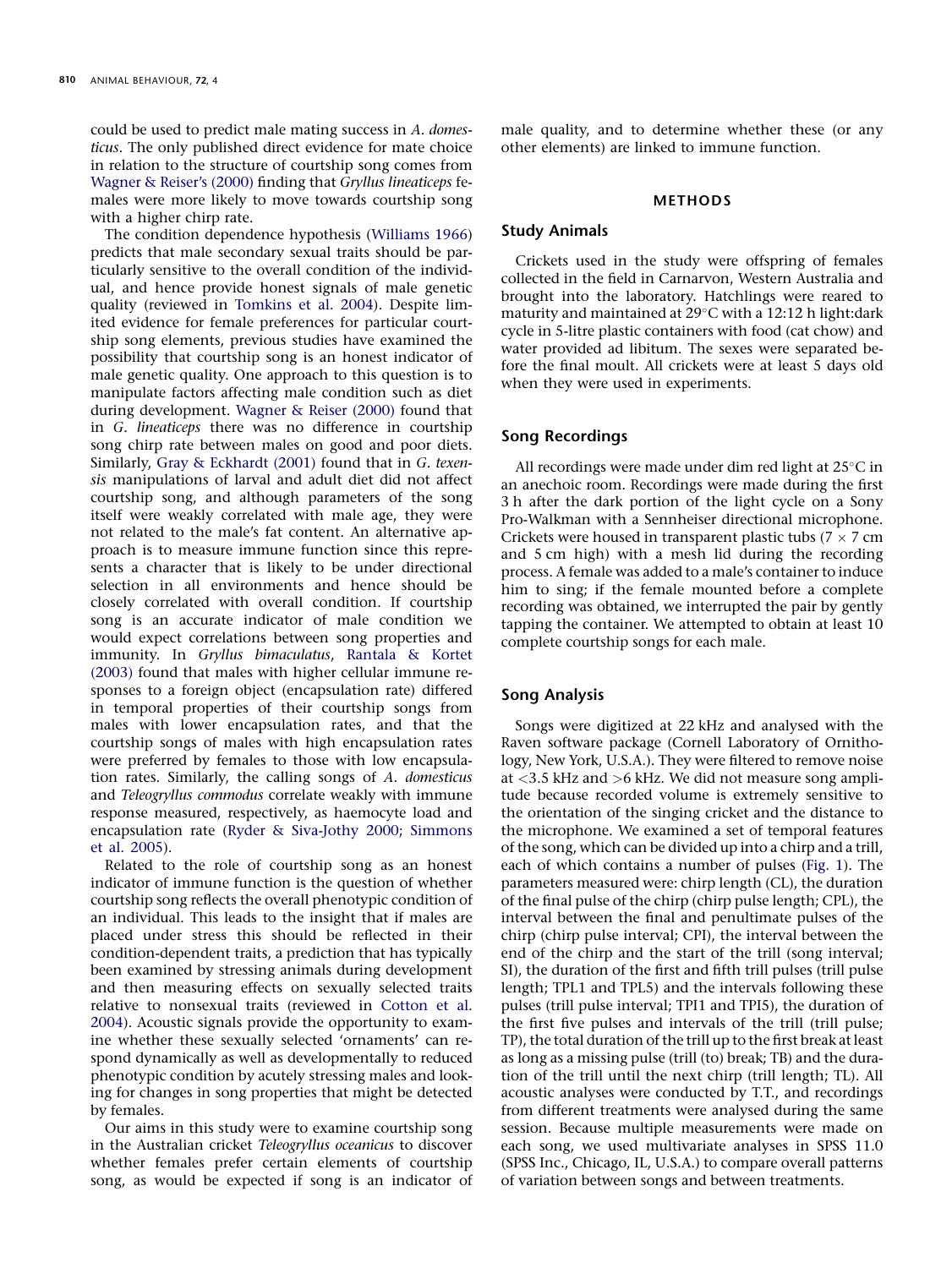could be used to predict male mating success in A. domesticus. The only published direct evidence for mate choice in relation to the structure of courtship song comes from [Wagner & Reiser's \(2000\)](#page-9-0) finding that Gryllus lineaticeps females were more likely to move towards courtship song with a higher chirp rate.

The condition dependence hypothesis [\(Williams 1966\)](#page-9-0) predicts that male secondary sexual traits should be particularly sensitive to the overall condition of the individual, and hence provide honest signals of male genetic quality (reviewed in [Tomkins et al. 2004\)](#page-9-0). Despite limited evidence for female preferences for particular courtship song elements, previous studies have examined the possibility that courtship song is an honest indicator of male genetic quality. One approach to this question is to manipulate factors affecting male condition such as diet during development. [Wagner & Reiser \(2000\)](#page-9-0) found that in G. lineaticeps there was no difference in courtship song chirp rate between males on good and poor diets. Similarly, [Gray & Eckhardt \(2001\)](#page-8-0) found that in G. texensis manipulations of larval and adult diet did not affect courtship song, and although parameters of the song itself were weakly correlated with male age, they were not related to the male's fat content. An alternative approach is to measure immune function since this represents a character that is likely to be under directional selection in all environments and hence should be closely correlated with overall condition. If courtship song is an accurate indicator of male condition we would expect correlations between song properties and immunity. In Gryllus bimaculatus, [Rantala & Kortet](#page-8-0) [\(2003\)](#page-8-0) found that males with higher cellular immune responses to a foreign object (encapsulation rate) differed in temporal properties of their courtship songs from males with lower encapsulation rates, and that the courtship songs of males with high encapsulation rates were preferred by females to those with low encapsulation rates. Similarly, the calling songs of A. domesticus and Teleogryllus commodus correlate weakly with immune response measured, respectively, as haemocyte load and encapsulation rate [\(Ryder & Siva-Jothy 2000; Simmons](#page-8-0) [et al. 2005](#page-8-0)).

Related to the role of courtship song as an honest indicator of immune function is the question of whether courtship song reflects the overall phenotypic condition of an individual. This leads to the insight that if males are placed under stress this should be reflected in their condition-dependent traits, a prediction that has typically been examined by stressing animals during development and then measuring effects on sexually selected traits relative to nonsexual traits (reviewed in [Cotton et al.](#page-8-0) [2004](#page-8-0)). Acoustic signals provide the opportunity to examine whether these sexually selected 'ornaments' can respond dynamically as well as developmentally to reduced phenotypic condition by acutely stressing males and looking for changes in song properties that might be detected by females.

Our aims in this study were to examine courtship song in the Australian cricket Teleogryllus oceanicus to discover whether females prefer certain elements of courtship song, as would be expected if song is an indicator of

male quality, and to determine whether these (or any other elements) are linked to immune function.

#### METHODS

#### Study Animals

Crickets used in the study were offspring of females collected in the field in Carnarvon, Western Australia and brought into the laboratory. Hatchlings were reared to maturity and maintained at  $29^{\circ}$ C with a 12:12 h light:dark cycle in 5-litre plastic containers with food (cat chow) and water provided ad libitum. The sexes were separated before the final moult. All crickets were at least 5 days old when they were used in experiments.

# Song Recordings

All recordings were made under dim red light at  $25^{\circ}$ C in an anechoic room. Recordings were made during the first 3 h after the dark portion of the light cycle on a Sony Pro-Walkman with a Sennheiser directional microphone. Crickets were housed in transparent plastic tubs ( $7 \times 7$  cm and 5 cm high) with a mesh lid during the recording process. A female was added to a male's container to induce him to sing; if the female mounted before a complete recording was obtained, we interrupted the pair by gently tapping the container. We attempted to obtain at least 10 complete courtship songs for each male.

#### Song Analysis

Songs were digitized at 22 kHz and analysed with the Raven software package (Cornell Laboratory of Ornithology, New York, U.S.A.). They were filtered to remove noise at <3.5 kHz and >6 kHz. We did not measure song amplitude because recorded volume is extremely sensitive to the orientation of the singing cricket and the distance to the microphone. We examined a set of temporal features of the song, which can be divided up into a chirp and a trill, each of which contains a number of pulses ([Fig. 1\)](#page-2-0). The parameters measured were: chirp length (CL), the duration of the final pulse of the chirp (chirp pulse length; CPL), the interval between the final and penultimate pulses of the chirp (chirp pulse interval; CPI), the interval between the end of the chirp and the start of the trill (song interval; SI), the duration of the first and fifth trill pulses (trill pulse length; TPL1 and TPL5) and the intervals following these pulses (trill pulse interval; TPI1 and TPI5), the duration of the first five pulses and intervals of the trill (trill pulse; TP), the total duration of the trill up to the first break at least as long as a missing pulse (trill (to) break; TB) and the duration of the trill until the next chirp (trill length; TL). All acoustic analyses were conducted by T.T., and recordings from different treatments were analysed during the same session. Because multiple measurements were made on each song, we used multivariate analyses in SPSS 11.0 (SPSS Inc., Chicago, IL, U.S.A.) to compare overall patterns of variation between songs and between treatments.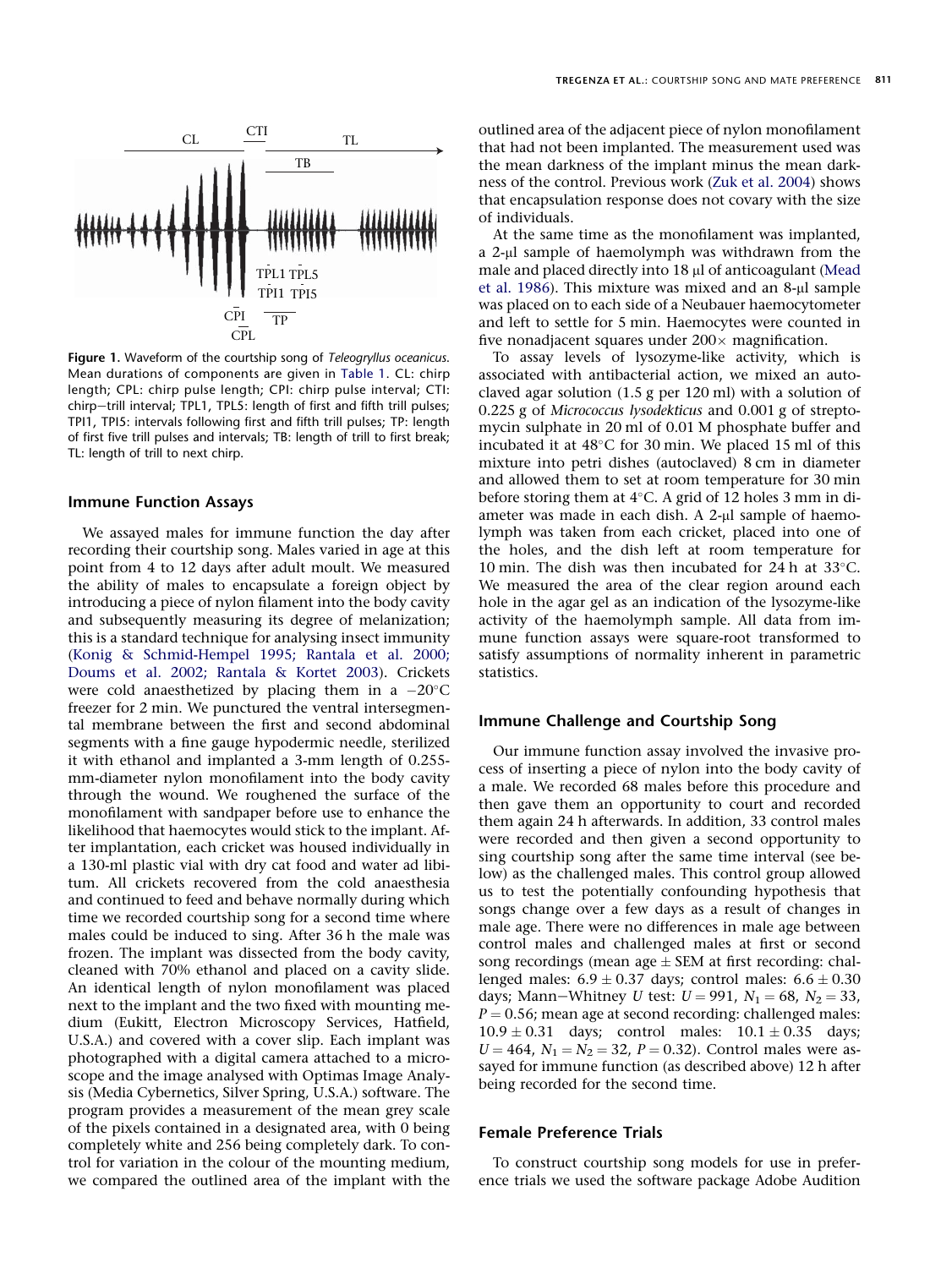<span id="page-2-0"></span>

Figure 1. Waveform of the courtship song of Teleogryllus oceanicus. Mean durations of components are given in [Table 1.](#page-3-0) CL: chirp length; CPL: chirp pulse length; CPI: chirp pulse interval; CTI: chirp-trill interval; TPL1, TPL5: length of first and fifth trill pulses; TPI1, TPI5: intervals following first and fifth trill pulses; TP: length of first five trill pulses and intervals; TB: length of trill to first break; TL: length of trill to next chirp.

# Immune Function Assays

We assayed males for immune function the day after recording their courtship song. Males varied in age at this point from 4 to 12 days after adult moult. We measured the ability of males to encapsulate a foreign object by introducing a piece of nylon filament into the body cavity and subsequently measuring its degree of melanization; this is a standard technique for analysing insect immunity ([Konig & Schmid-Hempel 1995; Rantala et al. 2000;](#page-8-0) [Doums et al. 2002; Rantala & Kortet 2003](#page-8-0)). Crickets were cold anaesthetized by placing them in a  $-20^{\circ}$ C freezer for 2 min. We punctured the ventral intersegmental membrane between the first and second abdominal segments with a fine gauge hypodermic needle, sterilized it with ethanol and implanted a 3-mm length of 0.255 mm-diameter nylon monofilament into the body cavity through the wound. We roughened the surface of the monofilament with sandpaper before use to enhance the likelihood that haemocytes would stick to the implant. After implantation, each cricket was housed individually in a 130-ml plastic vial with dry cat food and water ad libitum. All crickets recovered from the cold anaesthesia and continued to feed and behave normally during which time we recorded courtship song for a second time where males could be induced to sing. After 36 h the male was frozen. The implant was dissected from the body cavity, cleaned with 70% ethanol and placed on a cavity slide. An identical length of nylon monofilament was placed next to the implant and the two fixed with mounting medium (Eukitt, Electron Microscopy Services, Hatfield, U.S.A.) and covered with a cover slip. Each implant was photographed with a digital camera attached to a microscope and the image analysed with Optimas Image Analysis (Media Cybernetics, Silver Spring, U.S.A.) software. The program provides a measurement of the mean grey scale of the pixels contained in a designated area, with 0 being completely white and 256 being completely dark. To control for variation in the colour of the mounting medium, we compared the outlined area of the implant with the

outlined area of the adjacent piece of nylon monofilament that had not been implanted. The measurement used was the mean darkness of the implant minus the mean darkness of the control. Previous work ([Zuk et al. 2004](#page-9-0)) shows that encapsulation response does not covary with the size of individuals.

At the same time as the monofilament was implanted, a 2-µl sample of haemolymph was withdrawn from the male and placed directly into 18 µl of anticoagulant ([Mead](#page-8-0) [et al. 1986](#page-8-0)). This mixture was mixed and an 8-µl sample was placed on to each side of a Neubauer haemocytometer and left to settle for 5 min. Haemocytes were counted in five nonadjacent squares under 200 $\times$  magnification.

To assay levels of lysozyme-like activity, which is associated with antibacterial action, we mixed an autoclaved agar solution (1.5 g per 120 ml) with a solution of 0.225 g of Micrococcus lysodekticus and 0.001 g of streptomycin sulphate in 20 ml of 0.01 M phosphate buffer and incubated it at  $48^{\circ}$ C for 30 min. We placed 15 ml of this mixture into petri dishes (autoclaved) 8 cm in diameter and allowed them to set at room temperature for 30 min before storing them at  $4^{\circ}$ C. A grid of 12 holes 3 mm in diameter was made in each dish. A 2-µl sample of haemolymph was taken from each cricket, placed into one of the holes, and the dish left at room temperature for 10 min. The dish was then incubated for 24 h at  $33^{\circ}$ C. We measured the area of the clear region around each hole in the agar gel as an indication of the lysozyme-like activity of the haemolymph sample. All data from immune function assays were square-root transformed to satisfy assumptions of normality inherent in parametric statistics.

# Immune Challenge and Courtship Song

Our immune function assay involved the invasive process of inserting a piece of nylon into the body cavity of a male. We recorded 68 males before this procedure and then gave them an opportunity to court and recorded them again 24 h afterwards. In addition, 33 control males were recorded and then given a second opportunity to sing courtship song after the same time interval (see below) as the challenged males. This control group allowed us to test the potentially confounding hypothesis that songs change over a few days as a result of changes in male age. There were no differences in male age between control males and challenged males at first or second song recordings (mean age  $\pm$  SEM at first recording: challenged males:  $6.9 \pm 0.37$  days; control males:  $6.6 \pm 0.30$ days; Mann-Whitney *U* test:  $U = 991$ ,  $N_1 = 68$ ,  $N_2 = 33$ ,  $P = 0.56$ ; mean age at second recording: challenged males:  $10.9 \pm 0.31$  days; control males:  $10.1 \pm 0.35$  days;  $U = 464$ ,  $N_1 = N_2 = 32$ ,  $P = 0.32$ ). Control males were assayed for immune function (as described above) 12 h after being recorded for the second time.

# Female Preference Trials

To construct courtship song models for use in preference trials we used the software package Adobe Audition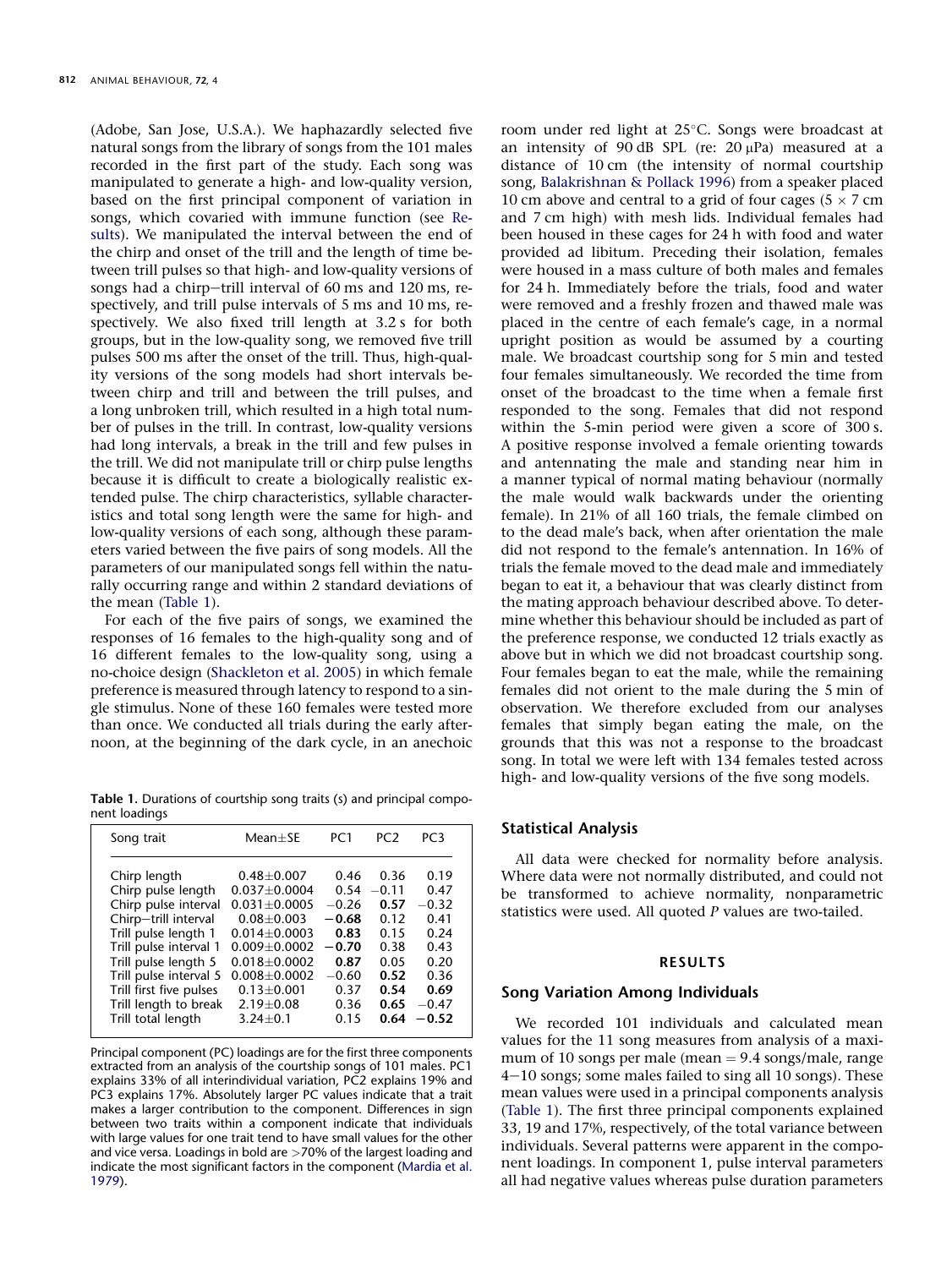<span id="page-3-0"></span>(Adobe, San Jose, U.S.A.). We haphazardly selected five natural songs from the library of songs from the 101 males recorded in the first part of the study. Each song was manipulated to generate a high- and low-quality version, based on the first principal component of variation in songs, which covaried with immune function (see Results). We manipulated the interval between the end of the chirp and onset of the trill and the length of time between trill pulses so that high- and low-quality versions of songs had a chirp-trill interval of 60 ms and 120 ms, respectively, and trill pulse intervals of 5 ms and 10 ms, respectively. We also fixed trill length at 3.2 s for both groups, but in the low-quality song, we removed five trill pulses 500 ms after the onset of the trill. Thus, high-quality versions of the song models had short intervals between chirp and trill and between the trill pulses, and a long unbroken trill, which resulted in a high total number of pulses in the trill. In contrast, low-quality versions had long intervals, a break in the trill and few pulses in the trill. We did not manipulate trill or chirp pulse lengths because it is difficult to create a biologically realistic extended pulse. The chirp characteristics, syllable characteristics and total song length were the same for high- and low-quality versions of each song, although these parameters varied between the five pairs of song models. All the parameters of our manipulated songs fell within the naturally occurring range and within 2 standard deviations of the mean (Table 1).

For each of the five pairs of songs, we examined the responses of 16 females to the high-quality song and of 16 different females to the low-quality song, using a no-choice design [\(Shackleton et al. 2005](#page-8-0)) in which female preference is measured through latency to respond to a single stimulus. None of these 160 females were tested more than once. We conducted all trials during the early afternoon, at the beginning of the dark cycle, in an anechoic

Table 1. Durations of courtship song traits (s) and principal component loadings

| Song trait              | $Mean + SE$      | PC <sub>1</sub> | PC <sub>2</sub> | PC3     |
|-------------------------|------------------|-----------------|-----------------|---------|
| Chirp length            | $0.48 + 0.007$   | 0.46            | 0.36            | 0.19    |
| Chirp pulse length      | $0.037 + 0.0004$ | 0.54            | $-0.11$         | 0.47    |
| Chirp pulse interval    | $0.031 + 0.0005$ | $-0.26$         | 0.57            | $-0.32$ |
| Chirp-trill interval    | $0.08 + 0.003$   | $-0.68$         | 0.12            | 0.41    |
| Trill pulse length 1    | $0.014 + 0.0003$ | 0.83            | 0.15            | 0.24    |
| Trill pulse interval 1  | $0.009 + 0.0002$ | $-0.70$         | 0.38            | 0.43    |
| Trill pulse length 5    | $0.018 + 0.0002$ | 0.87            | 0.05            | 0.20    |
| Trill pulse interval 5  | $0.008 + 0.0002$ | $-0.60$         | 0.52            | 0.36    |
| Trill first five pulses | $0.13 + 0.001$   | 0.37            | 0.54            | 0.69    |
| Trill length to break   | $2.19 + 0.08$    | 0.36            | 0.65            | $-0.47$ |
| Trill total length      | $3.24 + 0.1$     | 0.15            | 0.64            | $-0.52$ |

Principal component (PC) loadings are for the first three components extracted from an analysis of the courtship songs of 101 males. PC1 explains 33% of all interindividual variation, PC2 explains 19% and PC3 explains 17%. Absolutely larger PC values indicate that a trait makes a larger contribution to the component. Differences in sign between two traits within a component indicate that individuals with large values for one trait tend to have small values for the other and vice versa. Loadings in bold are >70% of the largest loading and indicate the most significant factors in the component ([Mardia et al.](#page-8-0) [1979\)](#page-8-0).

room under red light at  $25^{\circ}$ C. Songs were broadcast at an intensity of 90 dB SPL (re:  $20 \mu Pa$ ) measured at a distance of 10 cm (the intensity of normal courtship song, [Balakrishnan & Pollack 1996](#page-8-0)) from a speaker placed 10 cm above and central to a grid of four cages ( $5 \times 7$  cm and 7 cm high) with mesh lids. Individual females had been housed in these cages for 24 h with food and water provided ad libitum. Preceding their isolation, females were housed in a mass culture of both males and females for 24 h. Immediately before the trials, food and water were removed and a freshly frozen and thawed male was placed in the centre of each female's cage, in a normal upright position as would be assumed by a courting male. We broadcast courtship song for 5 min and tested four females simultaneously. We recorded the time from onset of the broadcast to the time when a female first responded to the song. Females that did not respond within the 5-min period were given a score of 300 s. A positive response involved a female orienting towards and antennating the male and standing near him in a manner typical of normal mating behaviour (normally the male would walk backwards under the orienting female). In 21% of all 160 trials, the female climbed on to the dead male's back, when after orientation the male did not respond to the female's antennation. In 16% of trials the female moved to the dead male and immediately began to eat it, a behaviour that was clearly distinct from the mating approach behaviour described above. To determine whether this behaviour should be included as part of the preference response, we conducted 12 trials exactly as above but in which we did not broadcast courtship song. Four females began to eat the male, while the remaining females did not orient to the male during the 5 min of observation. We therefore excluded from our analyses females that simply began eating the male, on the grounds that this was not a response to the broadcast song. In total we were left with 134 females tested across high- and low-quality versions of the five song models.

# Statistical Analysis

All data were checked for normality before analysis. Where data were not normally distributed, and could not be transformed to achieve normality, nonparametric statistics were used. All quoted P values are two-tailed.

## RESULTS

#### Song Variation Among Individuals

We recorded 101 individuals and calculated mean values for the 11 song measures from analysis of a maximum of 10 songs per male (mean  $= 9.4$  songs/male, range  $4-10$  songs; some males failed to sing all 10 songs). These mean values were used in a principal components analysis (Table 1). The first three principal components explained 33, 19 and 17%, respectively, of the total variance between individuals. Several patterns were apparent in the component loadings. In component 1, pulse interval parameters all had negative values whereas pulse duration parameters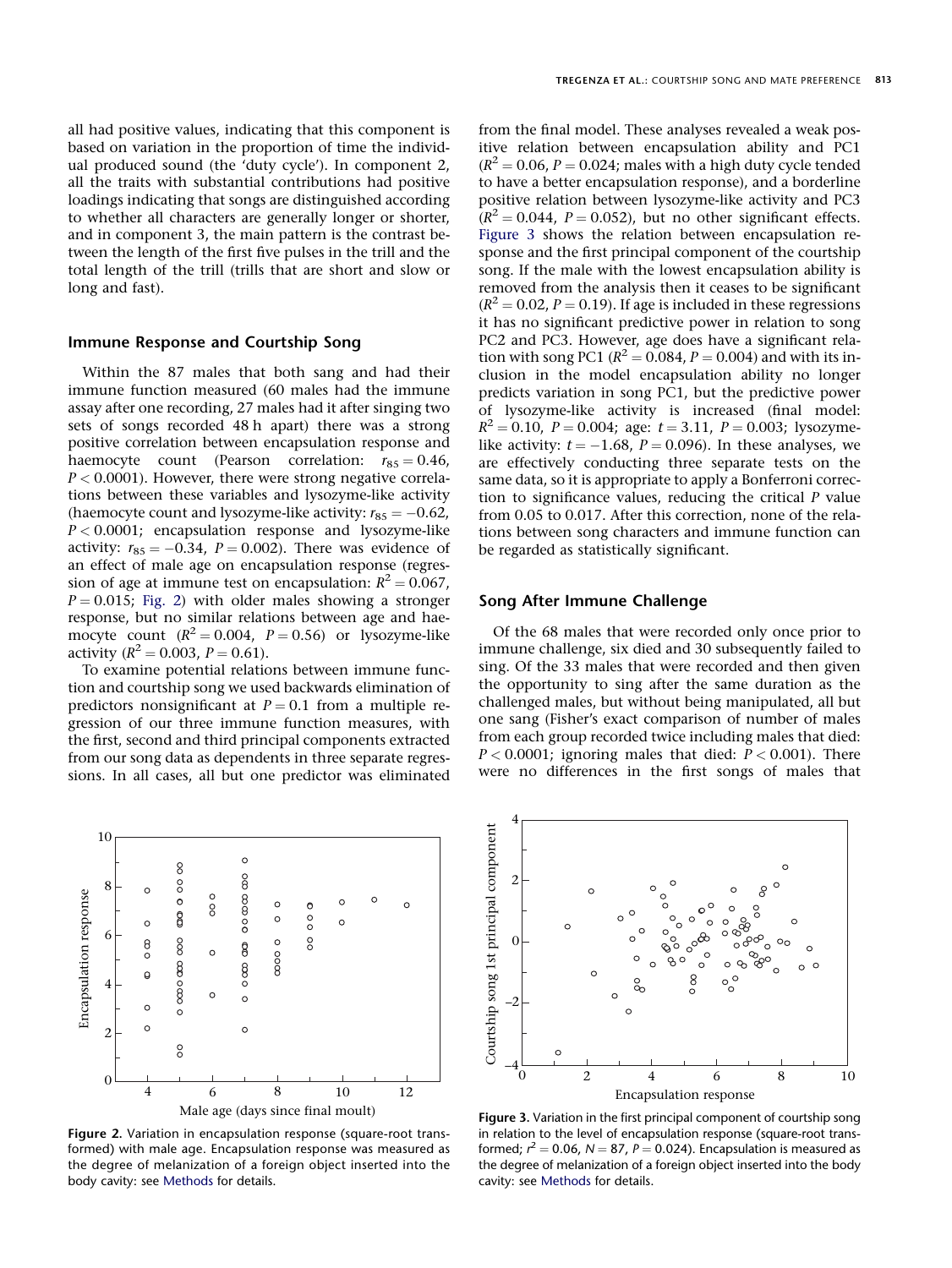all had positive values, indicating that this component is based on variation in the proportion of time the individual produced sound (the 'duty cycle'). In component 2, all the traits with substantial contributions had positive loadings indicating that songs are distinguished according to whether all characters are generally longer or shorter, and in component 3, the main pattern is the contrast between the length of the first five pulses in the trill and the total length of the trill (trills that are short and slow or long and fast).

# Immune Response and Courtship Song

Within the 87 males that both sang and had their immune function measured (60 males had the immune assay after one recording, 27 males had it after singing two sets of songs recorded 48 h apart) there was a strong positive correlation between encapsulation response and haemocyte count (Pearson correlation:  $r_{85} = 0.46$ ,  $P < 0.0001$ ). However, there were strong negative correlations between these variables and lysozyme-like activity (haemocyte count and lysozyme-like activity:  $r_{85} = -0.62$ ,  $P < 0.0001$ ; encapsulation response and lysozyme-like activity:  $r_{85} = -0.34$ ,  $P = 0.002$ ). There was evidence of an effect of male age on encapsulation response (regression of age at immune test on encapsulation:  $R^2 = 0.067$ ,  $P = 0.015$ ; Fig. 2) with older males showing a stronger response, but no similar relations between age and haemocyte count  $(R^2 = 0.004, P = 0.56)$  or lysozyme-like activity ( $R^2 = 0.003$ ,  $P = 0.61$ ).

To examine potential relations between immune function and courtship song we used backwards elimination of predictors nonsignificant at  $P = 0.1$  from a multiple regression of our three immune function measures, with the first, second and third principal components extracted from our song data as dependents in three separate regressions. In all cases, all but one predictor was eliminated



Figure 2. Variation in encapsulation response (square-root transformed) with male age. Encapsulation response was measured as the degree of melanization of a foreign object inserted into the body cavity: see Methods for details.

from the final model. These analyses revealed a weak positive relation between encapsulation ability and PC1  $(R^2 = 0.06, P = 0.024$ ; males with a high duty cycle tended to have a better encapsulation response), and a borderline positive relation between lysozyme-like activity and PC3  $(R^2 = 0.044, P = 0.052)$ , but no other significant effects. Figure 3 shows the relation between encapsulation response and the first principal component of the courtship song. If the male with the lowest encapsulation ability is removed from the analysis then it ceases to be significant  $(R^2 = 0.02, P = 0.19)$ . If age is included in these regressions it has no significant predictive power in relation to song PC2 and PC3. However, age does have a significant relation with song PC1 ( $R^2 = 0.084$ ,  $P = 0.004$ ) and with its inclusion in the model encapsulation ability no longer predicts variation in song PC1, but the predictive power of lysozyme-like activity is increased (final model:  $R^2 = 0.10$ ,  $P = 0.004$ ; age:  $t = 3.11$ ,  $P = 0.003$ ; lysozymelike activity:  $t = -1.68$ ,  $P = 0.096$ ). In these analyses, we are effectively conducting three separate tests on the same data, so it is appropriate to apply a Bonferroni correction to significance values, reducing the critical P value from 0.05 to 0.017. After this correction, none of the relations between song characters and immune function can be regarded as statistically significant.

# Song After Immune Challenge

Of the 68 males that were recorded only once prior to immune challenge, six died and 30 subsequently failed to sing. Of the 33 males that were recorded and then given the opportunity to sing after the same duration as the challenged males, but without being manipulated, all but one sang (Fisher's exact comparison of number of males from each group recorded twice including males that died:  $P < 0.0001$ ; ignoring males that died:  $P < 0.001$ ). There were no differences in the first songs of males that



Figure 3. Variation in the first principal component of courtship song in relation to the level of encapsulation response (square-root transformed;  $r^2 = 0.06$ ,  $N = 87$ ,  $P = 0.024$ ). Encapsulation is measured as the degree of melanization of a foreign object inserted into the body cavity: see Methods for details.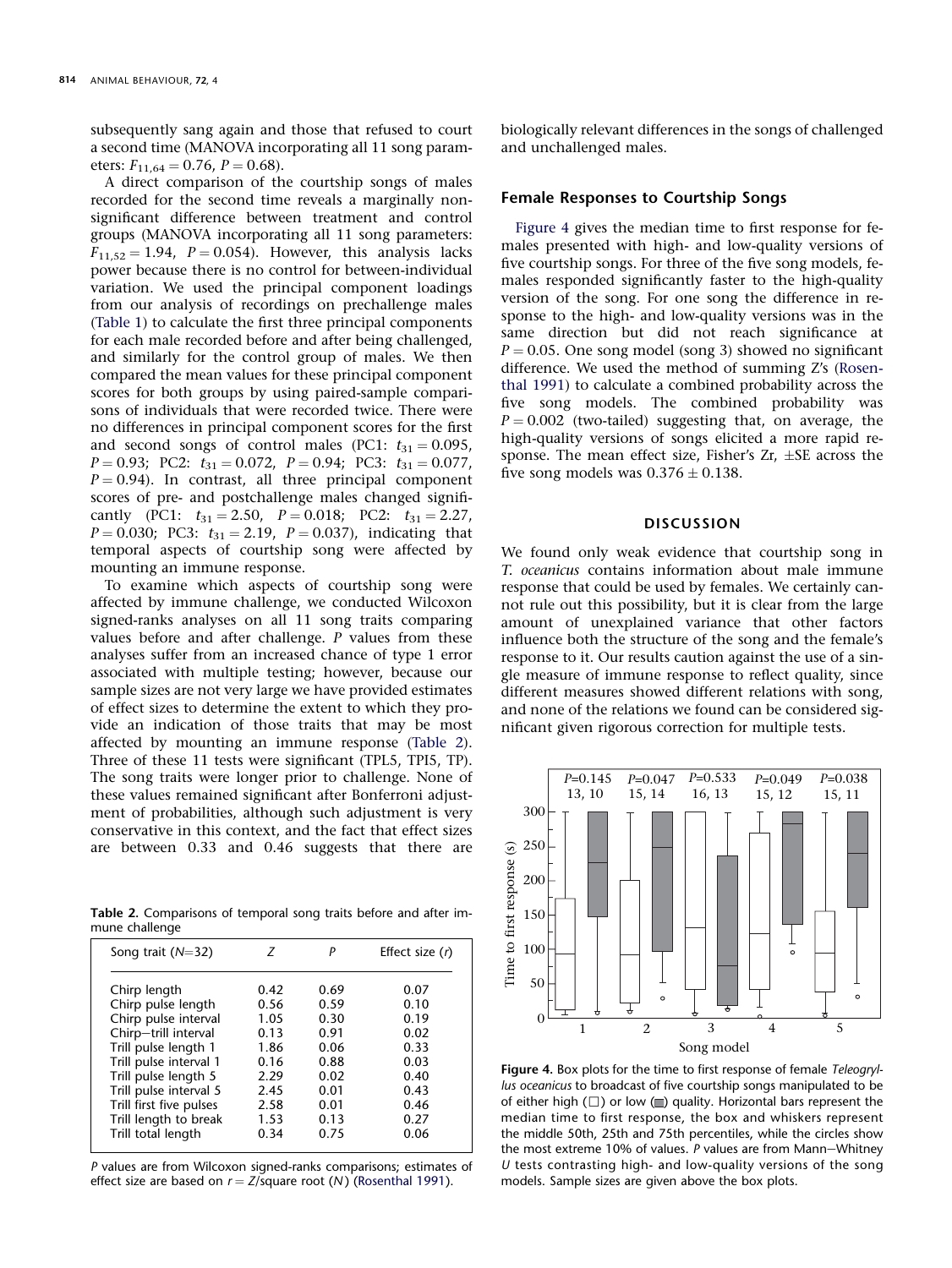<span id="page-5-0"></span>subsequently sang again and those that refused to court a second time (MANOVA incorporating all 11 song parameters:  $F_{11,64} = 0.76$ ,  $P = 0.68$ ).

A direct comparison of the courtship songs of males recorded for the second time reveals a marginally nonsignificant difference between treatment and control groups (MANOVA incorporating all 11 song parameters:  $F_{11,52} = 1.94$ ,  $P = 0.054$ ). However, this analysis lacks power because there is no control for between-individual variation. We used the principal component loadings from our analysis of recordings on prechallenge males ([Table 1](#page-3-0)) to calculate the first three principal components for each male recorded before and after being challenged, and similarly for the control group of males. We then compared the mean values for these principal component scores for both groups by using paired-sample comparisons of individuals that were recorded twice. There were no differences in principal component scores for the first and second songs of control males (PC1:  $t_{31} = 0.095$ ,  $P = 0.93$ ; PC2:  $t_{31} = 0.072$ ,  $P = 0.94$ ; PC3:  $t_{31} = 0.077$ ,  $P = 0.94$ ). In contrast, all three principal component scores of pre- and postchallenge males changed significantly (PC1:  $t_{31} = 2.50$ ,  $P = 0.018$ ; PC2:  $t_{31} = 2.27$ ,  $P = 0.030$ ; PC3:  $t_{31} = 2.19$ ,  $P = 0.037$ ), indicating that temporal aspects of courtship song were affected by mounting an immune response.

To examine which aspects of courtship song were affected by immune challenge, we conducted Wilcoxon signed-ranks analyses on all 11 song traits comparing values before and after challenge. P values from these analyses suffer from an increased chance of type 1 error associated with multiple testing; however, because our sample sizes are not very large we have provided estimates of effect sizes to determine the extent to which they provide an indication of those traits that may be most affected by mounting an immune response (Table 2). Three of these 11 tests were significant (TPL5, TPI5, TP). The song traits were longer prior to challenge. None of these values remained significant after Bonferroni adjustment of probabilities, although such adjustment is very conservative in this context, and the fact that effect sizes are between 0.33 and 0.46 suggests that there are

Table 2. Comparisons of temporal song traits before and after immune challenge

| Song trait $(N=32)$     | 7    | Р    | Effect size $(r)$ |
|-------------------------|------|------|-------------------|
| Chirp length            | 0.42 | 0.69 | 0.07              |
| Chirp pulse length      | 0.56 | 0.59 | 0.10              |
| Chirp pulse interval    | 1.05 | 0.30 | 0.19              |
| Chirp-trill interval    | 0.13 | 0.91 | 0.02              |
| Trill pulse length 1    | 1.86 | 0.06 | 0.33              |
| Trill pulse interval 1  | 0.16 | 0.88 | 0.03              |
| Trill pulse length 5    | 2.29 | 0.02 | 0.40              |
| Trill pulse interval 5  | 2.45 | 0.01 | 0.43              |
| Trill first five pulses | 2.58 | 0.01 | 0.46              |
| Trill length to break   | 1.53 | 0.13 | 0.27              |
| Trill total length      | 0.34 | 0.75 | 0.06              |

P values are from Wilcoxon signed-ranks comparisons; estimates of effect size are based on  $r = Z/sq$ quare root (N) [\(Rosenthal 1991\)](#page-8-0).

biologically relevant differences in the songs of challenged and unchallenged males.

## Female Responses to Courtship Songs

Figure 4 gives the median time to first response for females presented with high- and low-quality versions of five courtship songs. For three of the five song models, females responded significantly faster to the high-quality version of the song. For one song the difference in response to the high- and low-quality versions was in the same direction but did not reach significance at  $P = 0.05$ . One song model (song 3) showed no significant difference. We used the method of summing Z's [\(Rosen](#page-8-0)[thal 1991\)](#page-8-0) to calculate a combined probability across the five song models. The combined probability was  $P = 0.002$  (two-tailed) suggesting that, on average, the high-quality versions of songs elicited a more rapid response. The mean effect size, Fisher's Zr,  $\pm$ SE across the five song models was  $0.376 \pm 0.138$ .

# DISCUSSION

We found only weak evidence that courtship song in T. oceanicus contains information about male immune response that could be used by females. We certainly cannot rule out this possibility, but it is clear from the large amount of unexplained variance that other factors influence both the structure of the song and the female's response to it. Our results caution against the use of a single measure of immune response to reflect quality, since different measures showed different relations with song, and none of the relations we found can be considered significant given rigorous correction for multiple tests.



Figure 4. Box plots for the time to first response of female Teleogryllus oceanicus to broadcast of five courtship songs manipulated to be of either high ( $\Box$ ) or low ( $\Box$ ) quality. Horizontal bars represent the median time to first response, the box and whiskers represent the middle 50th, 25th and 75th percentiles, while the circles show the most extreme 10% of values.  $P$  values are from Mann-Whitney U tests contrasting high- and low-quality versions of the song models. Sample sizes are given above the box plots.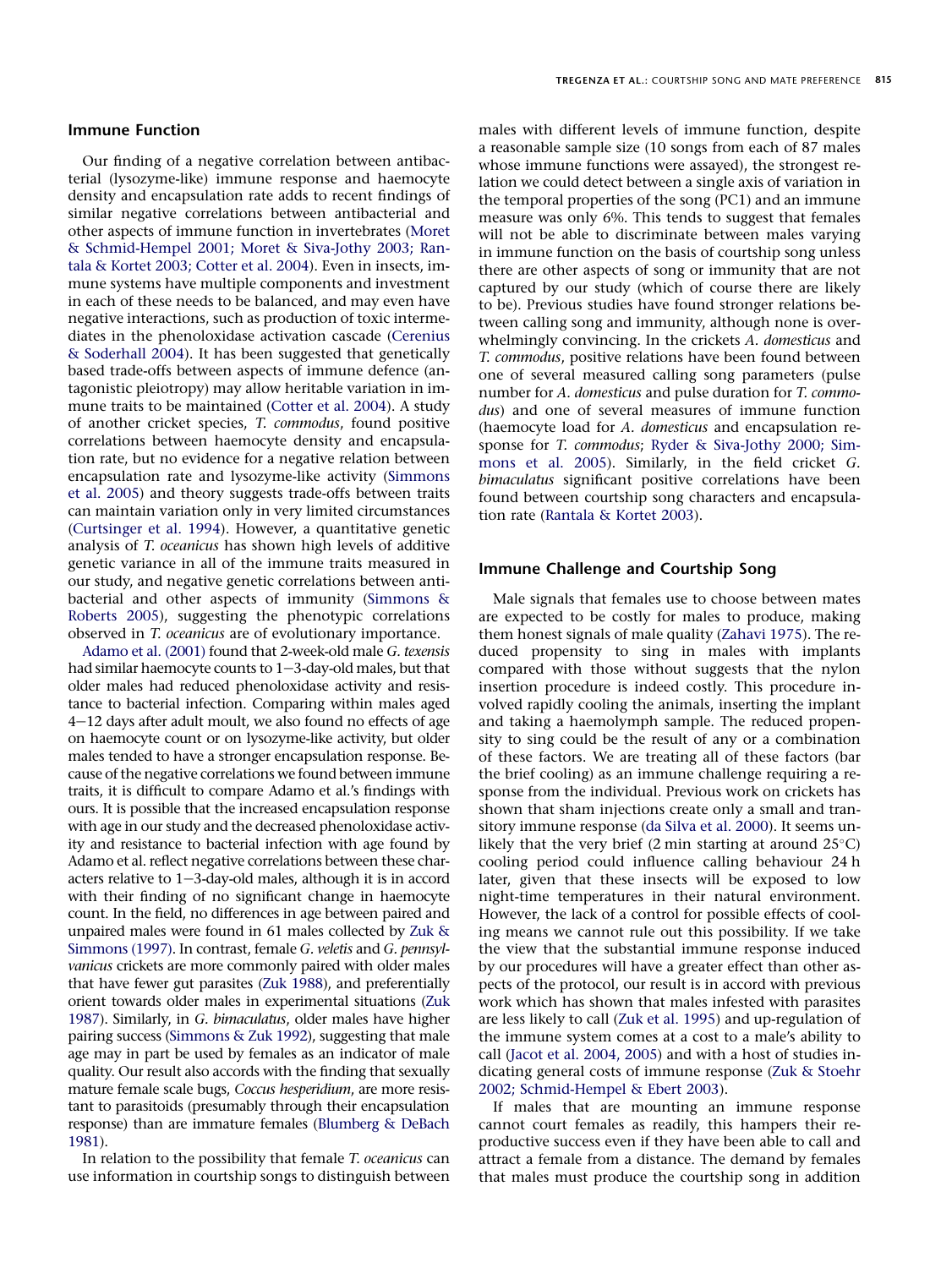# Immune Function

Our finding of a negative correlation between antibacterial (lysozyme-like) immune response and haemocyte density and encapsulation rate adds to recent findings of similar negative correlations between antibacterial and other aspects of immune function in invertebrates ([Moret](#page-8-0) [& Schmid-Hempel 2001; Moret & Siva-Jothy 2003; Ran](#page-8-0)[tala & Kortet 2003; Cotter et al. 2004](#page-8-0)). Even in insects, immune systems have multiple components and investment in each of these needs to be balanced, and may even have negative interactions, such as production of toxic intermediates in the phenoloxidase activation cascade [\(Cerenius](#page-8-0) [& Soderhall 2004](#page-8-0)). It has been suggested that genetically based trade-offs between aspects of immune defence (antagonistic pleiotropy) may allow heritable variation in immune traits to be maintained ([Cotter et al. 2004\)](#page-8-0). A study of another cricket species, T. commodus, found positive correlations between haemocyte density and encapsulation rate, but no evidence for a negative relation between encapsulation rate and lysozyme-like activity ([Simmons](#page-9-0) [et al. 2005](#page-9-0)) and theory suggests trade-offs between traits can maintain variation only in very limited circumstances ([Curtsinger et al. 1994](#page-8-0)). However, a quantitative genetic analysis of T. oceanicus has shown high levels of additive genetic variance in all of the immune traits measured in our study, and negative genetic correlations between antibacterial and other aspects of immunity [\(Simmons &](#page-8-0) [Roberts 2005\)](#page-8-0), suggesting the phenotypic correlations observed in T. oceanicus are of evolutionary importance.

[Adamo et al. \(2001\)](#page-8-0) found that 2-week-old male G. texensis had similar haemocyte counts to  $1-3$ -day-old males, but that older males had reduced phenoloxidase activity and resistance to bacterial infection. Comparing within males aged  $4-12$  days after adult moult, we also found no effects of age on haemocyte count or on lysozyme-like activity, but older males tended to have a stronger encapsulation response. Because of the negative correlations we found between immune traits, it is difficult to compare Adamo et al.'s findings with ours. It is possible that the increased encapsulation response with age in our study and the decreased phenoloxidase activity and resistance to bacterial infection with age found by Adamo et al. reflect negative correlations between these characters relative to  $1-3$ -day-old males, although it is in accord with their finding of no significant change in haemocyte count. In the field, no differences in age between paired and unpaired males were found in 61 males collected by [Zuk &](#page-9-0) [Simmons \(1997\).](#page-9-0) In contrast, female G. veletis and G. pennsylvanicus crickets are more commonly paired with older males that have fewer gut parasites [\(Zuk 1988](#page-9-0)), and preferentially orient towards older males in experimental situations [\(Zuk](#page-9-0) [1987](#page-9-0)). Similarly, in G. bimaculatus, older males have higher pairing success [\(Simmons & Zuk 1992](#page-8-0)), suggesting that male age may in part be used by females as an indicator of male quality. Our result also accords with the finding that sexually mature female scale bugs, Coccus hesperidium, are more resistant to parasitoids (presumably through their encapsulation response) than are immature females ([Blumberg & DeBach](#page-8-0) [1981](#page-8-0)).

In relation to the possibility that female T. oceanicus can use information in courtship songs to distinguish between males with different levels of immune function, despite a reasonable sample size (10 songs from each of 87 males whose immune functions were assayed), the strongest relation we could detect between a single axis of variation in the temporal properties of the song (PC1) and an immune measure was only 6%. This tends to suggest that females will not be able to discriminate between males varying in immune function on the basis of courtship song unless there are other aspects of song or immunity that are not captured by our study (which of course there are likely to be). Previous studies have found stronger relations between calling song and immunity, although none is overwhelmingly convincing. In the crickets A. domesticus and T. commodus, positive relations have been found between one of several measured calling song parameters (pulse number for A. domesticus and pulse duration for T. commodus) and one of several measures of immune function (haemocyte load for A. domesticus and encapsulation response for T. commodus; [Ryder & Siva-Jothy 2000; Sim](#page-8-0)[mons et al. 2005\)](#page-8-0). Similarly, in the field cricket G. bimaculatus significant positive correlations have been found between courtship song characters and encapsulation rate [\(Rantala & Kortet 2003](#page-8-0)).

# Immune Challenge and Courtship Song

Male signals that females use to choose between mates are expected to be costly for males to produce, making them honest signals of male quality ([Zahavi 1975](#page-9-0)). The reduced propensity to sing in males with implants compared with those without suggests that the nylon insertion procedure is indeed costly. This procedure involved rapidly cooling the animals, inserting the implant and taking a haemolymph sample. The reduced propensity to sing could be the result of any or a combination of these factors. We are treating all of these factors (bar the brief cooling) as an immune challenge requiring a response from the individual. Previous work on crickets has shown that sham injections create only a small and transitory immune response [\(da Silva et al. 2000\)](#page-8-0). It seems unlikely that the very brief (2 min starting at around  $25^{\circ}$ C) cooling period could influence calling behaviour 24 h later, given that these insects will be exposed to low night-time temperatures in their natural environment. However, the lack of a control for possible effects of cooling means we cannot rule out this possibility. If we take the view that the substantial immune response induced by our procedures will have a greater effect than other aspects of the protocol, our result is in accord with previous work which has shown that males infested with parasites are less likely to call ([Zuk et al. 1995\)](#page-9-0) and up-regulation of the immune system comes at a cost to a male's ability to call ([Jacot et al. 2004, 2005\)](#page-8-0) and with a host of studies indicating general costs of immune response [\(Zuk & Stoehr](#page-9-0) [2002; Schmid-Hempel & Ebert 2003](#page-9-0)).

If males that are mounting an immune response cannot court females as readily, this hampers their reproductive success even if they have been able to call and attract a female from a distance. The demand by females that males must produce the courtship song in addition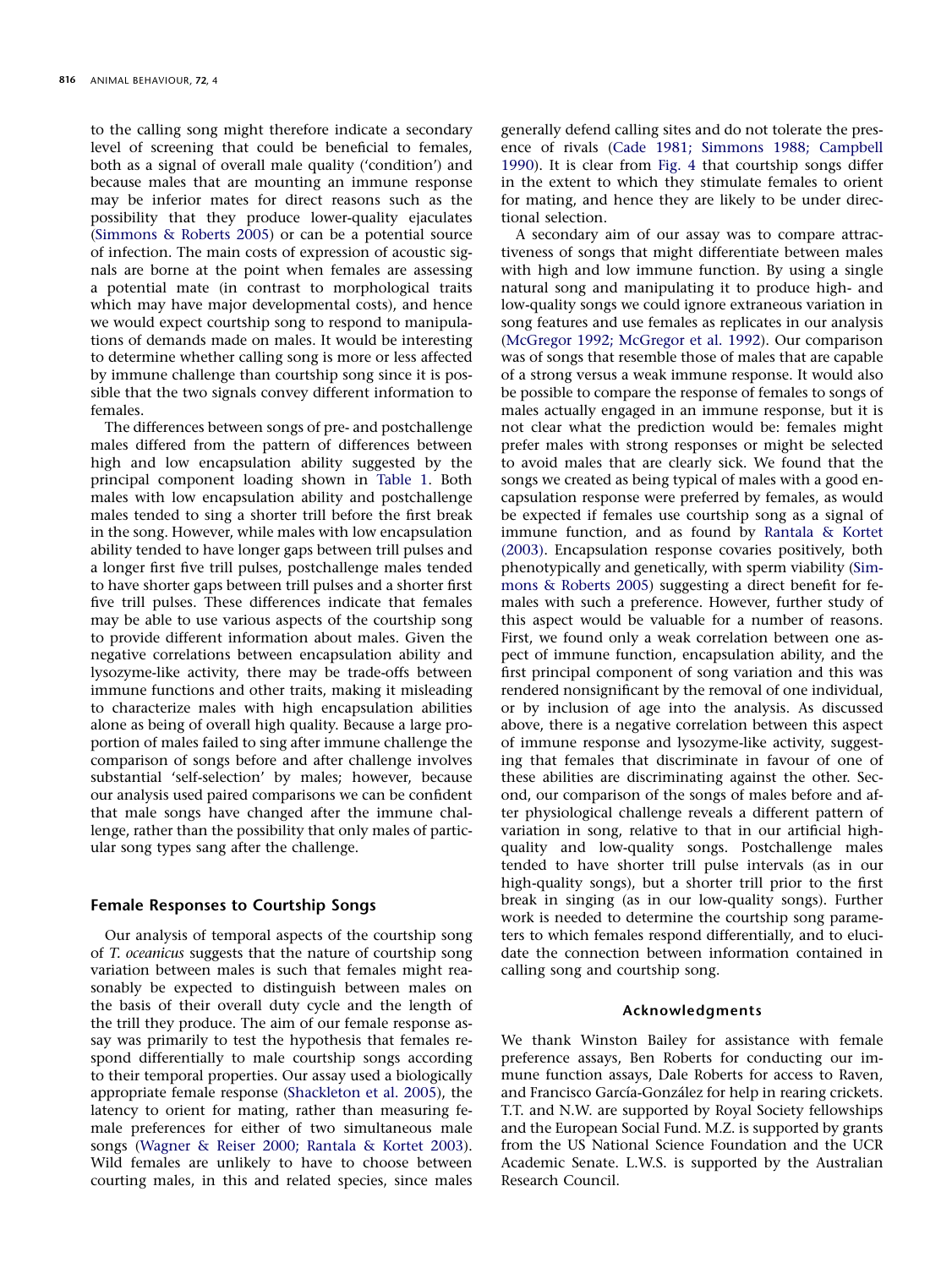to the calling song might therefore indicate a secondary level of screening that could be beneficial to females, both as a signal of overall male quality ('condition') and because males that are mounting an immune response may be inferior mates for direct reasons such as the possibility that they produce lower-quality ejaculates ([Simmons & Roberts 2005\)](#page-8-0) or can be a potential source of infection. The main costs of expression of acoustic signals are borne at the point when females are assessing a potential mate (in contrast to morphological traits which may have major developmental costs), and hence we would expect courtship song to respond to manipulations of demands made on males. It would be interesting to determine whether calling song is more or less affected by immune challenge than courtship song since it is possible that the two signals convey different information to females.

The differences between songs of pre- and postchallenge males differed from the pattern of differences between high and low encapsulation ability suggested by the principal component loading shown in [Table 1.](#page-3-0) Both males with low encapsulation ability and postchallenge males tended to sing a shorter trill before the first break in the song. However, while males with low encapsulation ability tended to have longer gaps between trill pulses and a longer first five trill pulses, postchallenge males tended to have shorter gaps between trill pulses and a shorter first five trill pulses. These differences indicate that females may be able to use various aspects of the courtship song to provide different information about males. Given the negative correlations between encapsulation ability and lysozyme-like activity, there may be trade-offs between immune functions and other traits, making it misleading to characterize males with high encapsulation abilities alone as being of overall high quality. Because a large proportion of males failed to sing after immune challenge the comparison of songs before and after challenge involves substantial 'self-selection' by males; however, because our analysis used paired comparisons we can be confident that male songs have changed after the immune challenge, rather than the possibility that only males of particular song types sang after the challenge.

#### Female Responses to Courtship Songs

Our analysis of temporal aspects of the courtship song of T. oceanicus suggests that the nature of courtship song variation between males is such that females might reasonably be expected to distinguish between males on the basis of their overall duty cycle and the length of the trill they produce. The aim of our female response assay was primarily to test the hypothesis that females respond differentially to male courtship songs according to their temporal properties. Our assay used a biologically appropriate female response [\(Shackleton et al. 2005](#page-8-0)), the latency to orient for mating, rather than measuring female preferences for either of two simultaneous male songs [\(Wagner & Reiser 2000; Rantala & Kortet 2003](#page-9-0)). Wild females are unlikely to have to choose between courting males, in this and related species, since males

generally defend calling sites and do not tolerate the presence of rivals ([Cade 1981; Simmons 1988; Campbell](#page-8-0) [1990](#page-8-0)). It is clear from [Fig. 4](#page-5-0) that courtship songs differ in the extent to which they stimulate females to orient for mating, and hence they are likely to be under directional selection.

A secondary aim of our assay was to compare attractiveness of songs that might differentiate between males with high and low immune function. By using a single natural song and manipulating it to produce high- and low-quality songs we could ignore extraneous variation in song features and use females as replicates in our analysis ([McGregor 1992; McGregor et al. 1992](#page-8-0)). Our comparison was of songs that resemble those of males that are capable of a strong versus a weak immune response. It would also be possible to compare the response of females to songs of males actually engaged in an immune response, but it is not clear what the prediction would be: females might prefer males with strong responses or might be selected to avoid males that are clearly sick. We found that the songs we created as being typical of males with a good encapsulation response were preferred by females, as would be expected if females use courtship song as a signal of immune function, and as found by [Rantala & Kortet](#page-8-0) [\(2003\)](#page-8-0). Encapsulation response covaries positively, both phenotypically and genetically, with sperm viability [\(Sim](#page-8-0)[mons & Roberts 2005](#page-8-0)) suggesting a direct benefit for females with such a preference. However, further study of this aspect would be valuable for a number of reasons. First, we found only a weak correlation between one aspect of immune function, encapsulation ability, and the first principal component of song variation and this was rendered nonsignificant by the removal of one individual, or by inclusion of age into the analysis. As discussed above, there is a negative correlation between this aspect of immune response and lysozyme-like activity, suggesting that females that discriminate in favour of one of these abilities are discriminating against the other. Second, our comparison of the songs of males before and after physiological challenge reveals a different pattern of variation in song, relative to that in our artificial highquality and low-quality songs. Postchallenge males tended to have shorter trill pulse intervals (as in our high-quality songs), but a shorter trill prior to the first break in singing (as in our low-quality songs). Further work is needed to determine the courtship song parameters to which females respond differentially, and to elucidate the connection between information contained in calling song and courtship song.

#### Acknowledgments

We thank Winston Bailey for assistance with female preference assays, Ben Roberts for conducting our immune function assays, Dale Roberts for access to Raven, and Francisco García-González for help in rearing crickets. T.T. and N.W. are supported by Royal Society fellowships and the European Social Fund. M.Z. is supported by grants from the US National Science Foundation and the UCR Academic Senate. L.W.S. is supported by the Australian Research Council.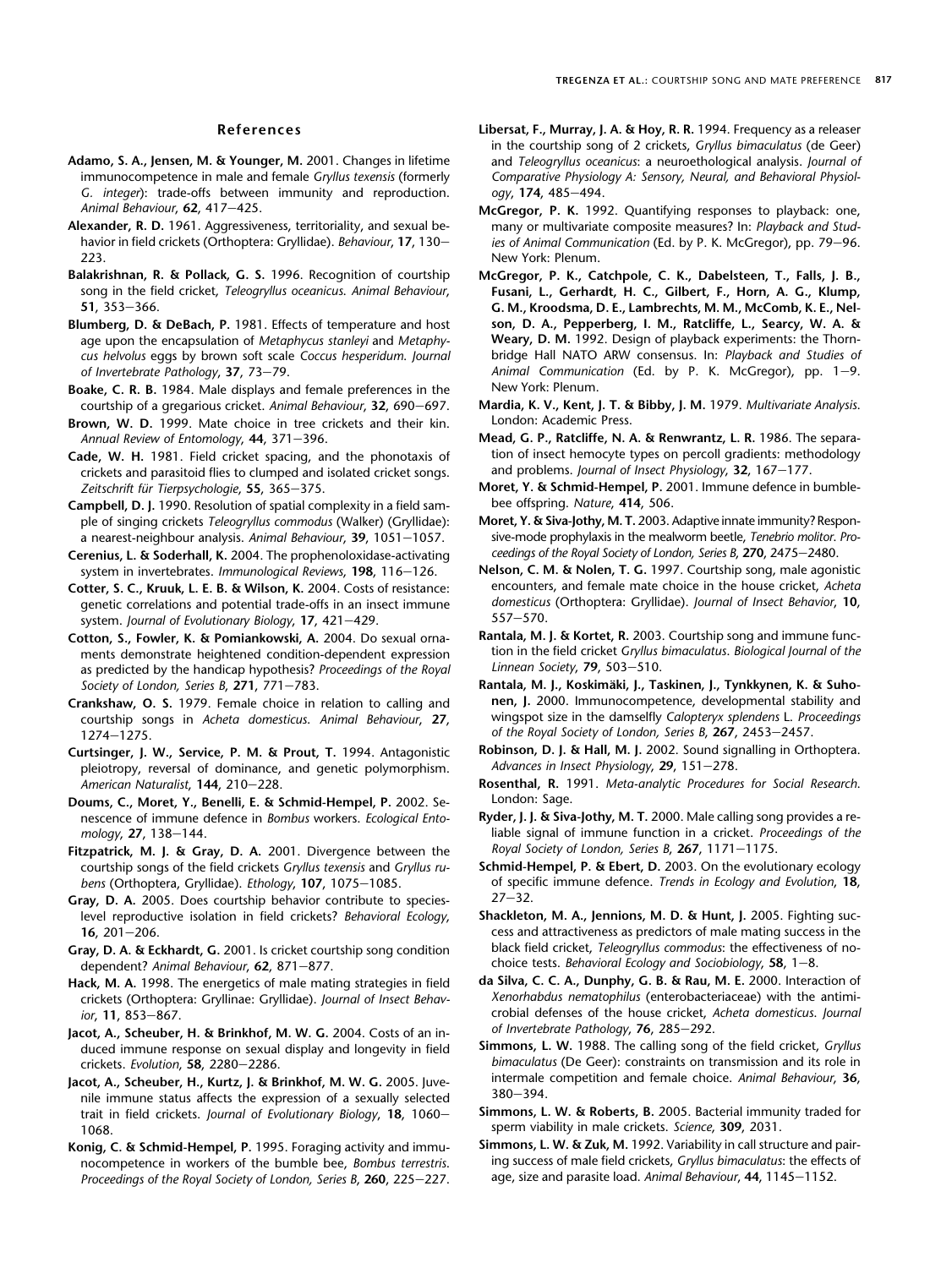#### References

- <span id="page-8-0"></span>Adamo, S. A., Jensen, M. & Younger, M. 2001. Changes in lifetime immunocompetence in male and female Gryllus texensis (formerly G. integer): trade-offs between immunity and reproduction. Animal Behaviour, 62, 417-425.
- Alexander, R. D. 1961. Aggressiveness, territoriality, and sexual behavior in field crickets (Orthoptera: Gryllidae). Behaviour, 17, 130-223.
- Balakrishnan, R. & Pollack, G. S. 1996. Recognition of courtship song in the field cricket, Teleogryllus oceanicus. Animal Behaviour, 51,  $353 - 366$ .
- Blumberg, D. & DeBach, P. 1981. Effects of temperature and host age upon the encapsulation of Metaphycus stanleyi and Metaphycus helvolus eggs by brown soft scale Coccus hesperidum. Journal of Invertebrate Pathology, 37, 73-79.
- Boake, C. R. B. 1984. Male displays and female preferences in the courtship of a gregarious cricket. Animal Behaviour, 32, 690-697.
- Brown, W. D. 1999. Mate choice in tree crickets and their kin. Annual Review of Entomology,  $44$ ,  $371-396$ .
- Cade, W. H. 1981. Field cricket spacing, and the phonotaxis of crickets and parasitoid flies to clumped and isolated cricket songs. Zeitschrift für Tierpsychologie, 55, 365-375.
- Campbell, D. J. 1990. Resolution of spatial complexity in a field sample of singing crickets Teleogryllus commodus (Walker) (Gryllidae): a nearest-neighbour analysis. Animal Behaviour,  $39$ ,  $1051-1057$ .
- Cerenius, L. & Soderhall, K. 2004. The prophenoloxidase-activating system in invertebrates. Immunological Reviews, 198, 116-126.
- Cotter, S. C., Kruuk, L. E. B. & Wilson, K. 2004. Costs of resistance: genetic correlations and potential trade-offs in an insect immune system. Journal of Evolutionary Biology, 17, 421-429.
- Cotton, S., Fowler, K. & Pomiankowski, A. 2004. Do sexual ornaments demonstrate heightened condition-dependent expression as predicted by the handicap hypothesis? Proceedings of the Royal Society of London, Series B,  $271$ ,  $771-783$ .
- Crankshaw, O. S. 1979. Female choice in relation to calling and courtship songs in Acheta domesticus. Animal Behaviour, 27, 1274-1275.
- Curtsinger, J. W., Service, P. M. & Prout, T. 1994. Antagonistic pleiotropy, reversal of dominance, and genetic polymorphism. American Naturalist, 144, 210-228.
- Doums, C., Moret, Y., Benelli, E. & Schmid-Hempel, P. 2002. Senescence of immune defence in Bombus workers. Ecological Entomology, 27, 138-144.
- Fitzpatrick, M. J. & Gray, D. A. 2001. Divergence between the courtship songs of the field crickets Gryllus texensis and Gryllus rubens (Orthoptera, Gryllidae). Ethology, 107, 1075-1085.
- Gray, D. A. 2005. Does courtship behavior contribute to specieslevel reproductive isolation in field crickets? Behavioral Ecology, 16,  $201 - 206$ .
- Gray, D. A. & Eckhardt, G. 2001. Is cricket courtship song condition dependent? Animal Behaviour, 62, 871-877.
- Hack, M. A. 1998. The energetics of male mating strategies in field crickets (Orthoptera: Gryllinae: Gryllidae). Journal of Insect Behavior, 11, 853-867.
- Jacot, A., Scheuber, H. & Brinkhof, M. W. G. 2004. Costs of an induced immune response on sexual display and longevity in field crickets. Evolution, 58, 2280-2286.
- Jacot, A., Scheuber, H., Kurtz, J. & Brinkhof, M. W. G. 2005. Juvenile immune status affects the expression of a sexually selected trait in field crickets. Journal of Evolutionary Biology, 18, 1060-1068.
- Konig, C. & Schmid-Hempel, P. 1995. Foraging activity and immunocompetence in workers of the bumble bee, Bombus terrestris. Proceedings of the Royal Society of London, Series B, 260, 225-227.
- Libersat, F., Murray, J. A. & Hoy, R. R. 1994. Frequency as a releaser in the courtship song of 2 crickets, Gryllus bimaculatus (de Geer) and Teleogryllus oceanicus: a neuroethological analysis. Journal of Comparative Physiology A: Sensory, Neural, and Behavioral Physiology, 174, 485-494.
- McGregor, P. K. 1992. Quantifying responses to playback: one, many or multivariate composite measures? In: Playback and Studies of Animal Communication (Ed. by P. K. McGregor), pp. 79-96. New York: Plenum.
- McGregor, P. K., Catchpole, C. K., Dabelsteen, T., Falls, J. B., Fusani, L., Gerhardt, H. C., Gilbert, F., Horn, A. G., Klump, G. M., Kroodsma, D. E., Lambrechts, M. M., McComb, K. E., Nelson, D. A., Pepperberg, I. M., Ratcliffe, L., Searcy, W. A. & Weary, D. M. 1992. Design of playback experiments: the Thornbridge Hall NATO ARW consensus. In: Playback and Studies of Animal Communication (Ed. by P. K. McGregor), pp.  $1-9$ . New York: Plenum.
- Mardia, K. V., Kent, J. T. & Bibby, J. M. 1979. Multivariate Analysis. London: Academic Press.
- Mead, G. P., Ratcliffe, N. A. & Renwrantz, L. R. 1986. The separation of insect hemocyte types on percoll gradients: methodology and problems. Journal of Insect Physiology, 32, 167-177.
- Moret, Y. & Schmid-Hempel, P. 2001. Immune defence in bumblebee offspring. Nature, 414, 506.
- Moret, Y. & Siva-Jothy, M. T. 2003. Adaptive innate immunity? Responsive-mode prophylaxis in the mealworm beetle, Tenebrio molitor. Proceedings of the Royal Society of London, Series B, 270, 2475-2480.
- Nelson, C. M. & Nolen, T. G. 1997. Courtship song, male agonistic encounters, and female mate choice in the house cricket, Acheta domesticus (Orthoptera: Gryllidae). Journal of Insect Behavior, 10,  $557 - 570$
- Rantala, M. J. & Kortet, R. 2003. Courtship song and immune function in the field cricket Gryllus bimaculatus. Biological Journal of the Linnean Society,  $79$ ,  $503-510$ .
- Rantala, M. J., Koskimäki, J., Taskinen, J., Tynkkynen, K. & Suhonen, J. 2000. Immunocompetence, developmental stability and wingspot size in the damselfly Calopteryx splendens L. Proceedings of the Royal Society of London, Series B, 267, 2453-2457.
- Robinson, D. J. & Hall, M. J. 2002. Sound signalling in Orthoptera. Advances in Insect Physiology, 29, 151-278.
- Rosenthal, R. 1991. Meta-analytic Procedures for Social Research. London: Sage.
- Ryder, J. J. & Siva-Jothy, M. T. 2000. Male calling song provides a reliable signal of immune function in a cricket. Proceedings of the Royal Society of London, Series B,  $267$ ,  $1171-1175$ .
- Schmid-Hempel, P. & Ebert, D. 2003. On the evolutionary ecology of specific immune defence. Trends in Ecology and Evolution, 18,  $27 - 32$ .
- Shackleton, M. A., Jennions, M. D. & Hunt, J. 2005. Fighting success and attractiveness as predictors of male mating success in the black field cricket, Teleogryllus commodus: the effectiveness of nochoice tests. Behavioral Ecology and Sociobiology, 58,  $1-8$ .
- da Silva, C. C. A., Dunphy, G. B. & Rau, M. E. 2000. Interaction of Xenorhabdus nematophilus (enterobacteriaceae) with the antimicrobial defenses of the house cricket, Acheta domesticus. Journal of Invertebrate Pathology, 76, 285-292.
- Simmons, L. W. 1988. The calling song of the field cricket, Gryllus bimaculatus (De Geer): constraints on transmission and its role in intermale competition and female choice. Animal Behaviour, 36, 380-394.
- Simmons, L. W. & Roberts, B. 2005. Bacterial immunity traded for sperm viability in male crickets. Science, 309, 2031.
- Simmons, L. W. & Zuk, M. 1992. Variability in call structure and pairing success of male field crickets, Gryllus bimaculatus: the effects of age, size and parasite load. Animal Behaviour, 44, 1145-1152.